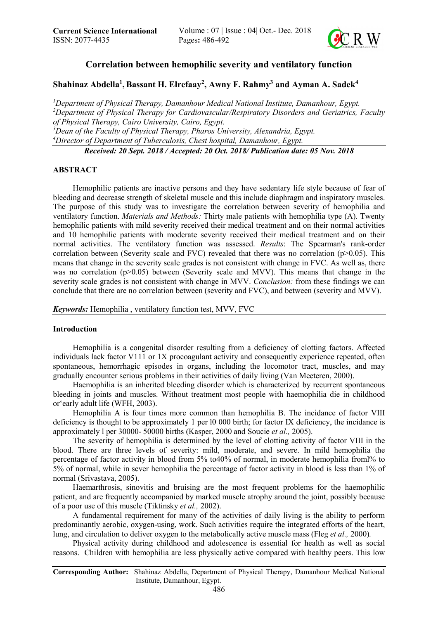

# Correlation between hemophilic severity and ventilatory function

## Shahinaz Abdella<sup>1</sup>, Bassant H. Elrefaay<sup>2</sup>, Awny F. Rahmy<sup>3</sup> and Ayman A. Sadek<sup>4</sup>

 *Department of Physical Therapy, Damanhour Medical National Institute, Damanhour, Egypt. Department of Physical Therapy for Cardiovascular/Respiratory Disorders and Geriatrics, Faculty of Physical Therapy, Cairo University, Cairo, Egypt. Dean of the Faculty of Physical Therapy, Pharos University, Alexandria, Egypt. Director of Department of Tuberculosis, Chest hospital, Damanhour, Egypt.*

*Received: 20 Sept. 2018 / Accepted: 20 Oct. 2018/ Publication date: 05 Nov. 2018*

### ABSTRACT

Hemophilic patients are inactive persons and they have sedentary life style because of fear of bleeding and decrease strength of skeletal muscle and this include diaphragm and inspiratory muscles. The purpose of this study was to investigate the correlation between severity of hemophilia and ventilatory function. *Materials and Methods:* Thirty male patients with hemophilia type (A). Twenty hemophilic patients with mild severity received their medical treatment and on their normal activities and 10 hemophilic patients with moderate severity received their medical treatment and on their normal activities. The ventilatory function was assessed. *Results*: The Spearman's rank-order correlation between (Severity scale and FVC) revealed that there was no correlation (p>0.05). This means that change in the severity scale grades is not consistent with change in FVC. As well as, there was no correlation  $(p>0.05)$  between (Severity scale and MVV). This means that change in the severity scale grades is not consistent with change in MVV. *Conclusion:* from these findings we can conclude that there are no correlation between (severity and FVC), and between (severity and MVV).

*Keywords:* Hemophilia , ventilatory function test, MVV, FVC

### Introduction

Hemophilia is a congenital disorder resulting from a deficiency of clotting factors. Affected individuals lack factor V111 or 1X procoagulant activity and consequently experience repeated, often spontaneous, hemorrhagic episodes in organs, including the locomotor tract, muscles, and may gradually encounter serious problems in their activities of daily living (Van Meeteren, 2000).

Haemophilia is an inherited bleeding disorder which is characterized by recurrent spontaneous bleeding in joints and muscles. Without treatment most people with haemophilia die in childhood or'early adult life (WFH, 2003).

Hemophilia A is four times more common than hemophilia B. The incidance of factor VIII deficiency is thought to be approximately 1 per l0 000 birth; for factor IX deficiency, the incidance is approximately l per 30000- 50000 births (Kasper, 2000 and Soucie *et al.,* 2005).

The severity of hemophilia is determined by the level of clotting activity of factor VIII in the blood. There are three levels of severity: mild, moderate, and severe. In mild hemophilia the percentage of factor activity in blood from 5% to40% of normal, in moderate hemophilia froml% to 5% of normal, while in sever hemophilia the percentage of factor activity in blood is less than 1% of normal (Srivastava, 2005).

Haemarthrosis, sinovitis and bruising are the most frequent problems for the haemophilic patient, and are frequently accompanied by marked muscle atrophy around the joint, possibly because of a poor use of this muscle (Tiktinsky *et al.,* 2002).

A fundamental requirement for many of the activities of daily living is the ability to perform predominantly aerobic, oxygen-using, work. Such activities require the integrated efforts of the heart, lung, and circulation to deliver oxygen to the metabolically active muscle mass (Fleg *et al.,* 2000)*.*

Physical activity during childhood and adolescence is essential for health as well as social reasons. Children with hemophilia are less physically active compared with healthy peers. This low

Corresponding Author: Shahinaz Abdella, Department of Physical Therapy, Damanhour Medical National Institute, Damanhour, Egypt.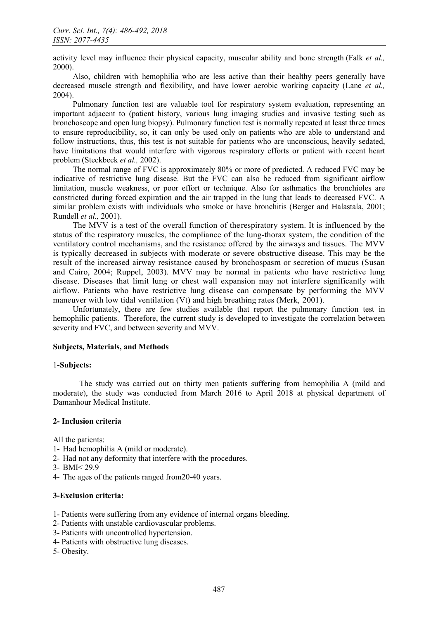activity level may influence their physical capacity, muscular ability and bone strength (Falk *et al.,* 2000).

Also, children with hemophilia who are less active than their healthy peers generally have decreased muscle strength and flexibility, and have lower aerobic working capacity (Lane *et al.,* 2004).

Pulmonary function test are valuable tool for respiratory system evaluation, representing an important adjacent to (patient history, various lung imaging studies and invasive testing such as bronchoscope and open lung biopsy). Pulmonary function test is normally repeated at least three times to ensure reproducibility, so, it can only be used only on patients who are able to understand and follow instructions, thus, this test is not suitable for patients who are unconscious, heavily sedated, have limitations that would interfere with vigorous respiratory efforts or patient with recent heart problem (Steckbeck *et al.,* 2002).

The normal range of FVC is approximately 80% or more of predicted. A reduced FVC may be indicative of restrictive lung disease. But the FVC can also be reduced from significant airflow limitation, muscle weakness, or poor effort or technique. Also for asthmatics the bronchioles are constricted during forced expiration and the air trapped in the lung that leads to decreased FVC. A similar problem exists with individuals who smoke or have bronchitis (Berger and Halastala, 2001; Rundell *et al.,* 2001).

The MVV is a test of the overall function of therespiratory system. It is influenced by the status of the respiratory muscles, the compliance of the lung-thorax system, the condition of the ventilatory control mechanisms, and the resistance offered by the airways and tissues. The MVV is typically decreased in subjects with moderate or severe obstructive disease. This may be the result of the increased airway resistance caused by bronchospasm or secretion of mucus (Susan and Cairo, 2004; Ruppel, 2003). MVV may be normal in patients who have restrictive lung disease. Diseases that limit lung or chest wall expansion may not interfere significantly with airflow. Patients who have restrictive lung disease can compensate by performing the MVV maneuver with low tidal ventilation (Vt) and high breathing rates (Merk, 2001).

Unfortunately, there are few studies available that report the pulmonary function test in hemophilic patients. Therefore, the current study is developed to investigate the correlation between severity and FVC, and between severity and MVV.

### Subjects, Materials, and Methods

### 1-Subjects:

The study was carried out on thirty men patients suffering from hemophilia A (mild and moderate), the study was conducted from March 2016 to April 2018 at physical department of Damanhour Medical Institute.

### 2- Inclusion criteria

All the patients:

- 1- Had hemophilia A (mild or moderate).
- 2- Had not any deformity that interfere with the procedures.
- 3- BMI< 29.9
- 4- The ages of the patients ranged from20-40 years.

### 3-Exclusion criteria:

1- Patients were suffering from any evidence of internal organs bleeding.

- 2- Patients with unstable cardiovascular problems.
- 3- Patients with uncontrolled hypertension.
- 4- Patients with obstructive lung diseases.
- 5- Obesity.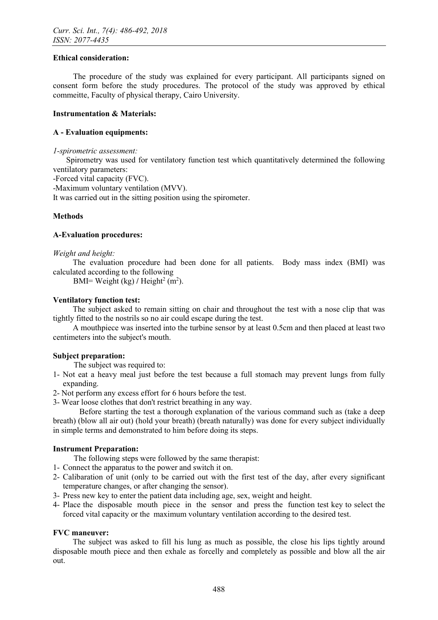### Ethical consideration:

The procedure of the study was explained for every participant. All participants signed on consent form before the study procedures. The protocol of the study was approved by ethical commeitte, Faculty of physical therapy, Cairo University.

### Instrumentation & Materials:

### A - Evaluation equipments:

### *1-spirometric assessment:*

Spirometry was used for ventilatory function test which quantitatively determined the following ventilatory parameters:

-Forced vital capacity (FVC).

-Maximum voluntary ventilation (MVV).

It was carried out in the sitting position using the spirometer.

### Methods

### A-Evaluation procedures:

### *Weight and height:*

The evaluation procedure had been done for all patients. Body mass index (BMI) was calculated according to the following

BMI= Weight (kg) / Height<sup>2</sup> (m<sup>2</sup>).

### Ventilatory function test:

The subject asked to remain sitting on chair and throughout the test with a nose clip that was tightly fitted to the nostrils so no air could escape during the test.

A mouthpiece was inserted into the turbine sensor by at least 0.5cm and then placed at least two centimeters into the subject's mouth.

### Subject preparation:

The subject was required to:

- 1- Not eat a heavy meal just before the test because a full stomach may prevent lungs from fully expanding.
- 2- Not perform any excess effort for 6 hours before the test.

3- Wear loose clothes that don't restrict breathing in any way.

Before starting the test a thorough explanation of the various command such as (take a deep breath) (blow all air out) (hold your breath) (breath naturally) was done for every subject individually in simple terms and demonstrated to him before doing its steps.

### Instrument Preparation:

The following steps were followed by the same therapist:

- 1- Connect the apparatus to the power and switch it on.
- 2- Calibaration of unit (only to be carried out with the first test of the day, after every significant temperature changes, or after changing the sensor).
- 3- Press new key to enter the patient data including age, sex, weight and height.
- 4- Place the disposable mouth piece in the sensor and press the function test key to select the forced vital capacity or the maximum voluntary ventilation according to the desired test.

### FVC maneuver:

The subject was asked to fill his lung as much as possible, the close his lips tightly around disposable mouth piece and then exhale as forcelly and completely as possible and blow all the air out.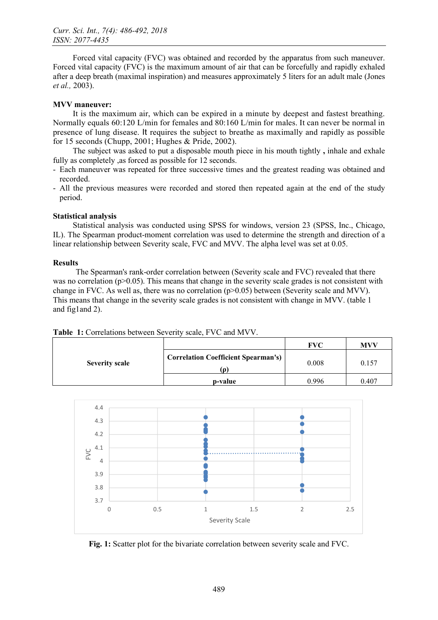Forced vital capacity (FVC) was obtained and recorded by the apparatus from such maneuver. Forced vital capacity (FVC) is the maximum amount of air that can be forcefully and rapidly exhaled after a deep breath (maximal inspiration) and measures approximately 5 liters for an adult male (Jones *et al.,* 2003).

### MVV maneuver:

It is the maximum air, which can be expired in a minute by deepest and fastest breathing. Normally equals 60:120 L/min for females and 80:160 L/min for males. It can never be normal in presence of lung disease. It requires the subject to breathe as maximally and rapidly as possible for 15 seconds (Chupp, 2001; Hughes & Pride, 2002).

The subject was asked to put a disposable mouth piece in his mouth tightly , inhale and exhale fully as completely ,as forced as possible for 12 seconds.

- Each maneuver was repeated for three successive times and the greatest reading was obtained and recorded.
- All the previous measures were recorded and stored then repeated again at the end of the study period.

### Statistical analysis

Statistical analysis was conducted using SPSS for windows, version 23 (SPSS, Inc., Chicago, IL). The Spearman product-moment correlation was used to determine the strength and direction of a linear relationship between Severity scale, FVC and MVV. The alpha level was set at 0.05.

### **Results**

The Spearman's rank-order correlation between (Severity scale and FVC) revealed that there was no correlation ( $p>0.05$ ). This means that change in the severity scale grades is not consistent with change in FVC. As well as, there was no correlation (p>0.05) between (Severity scale and MVV). This means that change in the severity scale grades is not consistent with change in MVV. (table 1 and fig1and 2).

Table 1: Correlations between Severity scale, FVC and MVV.

| <b>Severity scale</b> |                                            | <b>FVC</b> | MVV   |
|-----------------------|--------------------------------------------|------------|-------|
|                       | <b>Correlation Coefficient Spearman's)</b> | 0.008      | 0.157 |
|                       | p-value                                    | 0 996      | 0.407 |



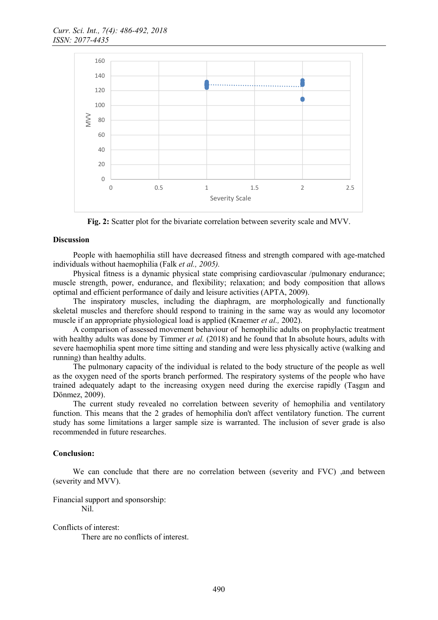

Fig. 2: Scatter plot for the bivariate correlation between severity scale and MVV.

#### **Discussion**

People with haemophilia still have decreased fitness and strength compared with age-matched individuals without haemophilia (Falk *et al., 2005).*

Physical fitness is a dynamic physical state comprising cardiovascular /pulmonary endurance; muscle strength, power, endurance, and flexibility; relaxation; and body composition that allows optimal and efficient performance of daily and leisure activities (APTA, 2009).

The inspiratory muscles, including the diaphragm, are morphologically and functionally skeletal muscles and therefore should respond to training in the same way as would any locomotor muscle if an appropriate physiological load is applied (Kraemer *et al.,* 2002).

A comparison of assessed movement behaviour of hemophilic adults on prophylactic treatment with healthy adults was done by Timmer *et al.* (2018) and he found that In absolute hours, adults with severe haemophilia spent more time sitting and standing and were less physically active (walking and running) than healthy adults.

The pulmonary capacity of the individual is related to the body structure of the people as well as the oxygen need of the sports branch performed. The respiratory systems of the people who have trained adequately adapt to the increasing oxygen need during the exercise rapidly (Taşgın and Dönmez, 2009).

The current study revealed no correlation between severity of hemophilia and ventilatory function. This means that the 2 grades of hemophilia don't affect ventilatory function. The current study has some limitations a larger sample size is warranted. The inclusion of sever grade is also recommended in future researches.

#### Conclusion:

We can conclude that there are no correlation between (severity and FVC) , and between (severity and MVV).

Financial support and sponsorship:

Nil.

Conflicts of interest:

There are no conflicts of interest.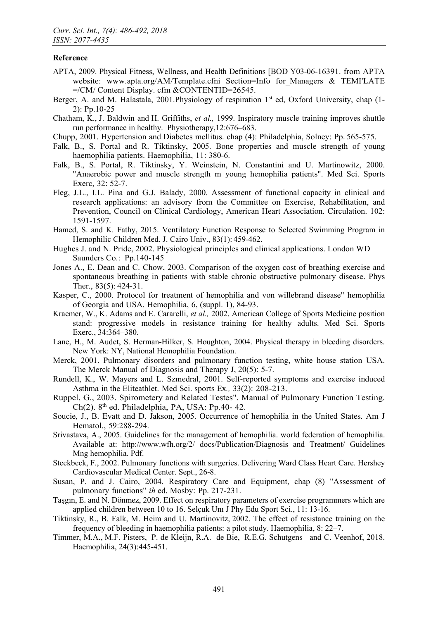### Reference

- APTA, 2009. Physical Fitness, Wellness, and Health Definitions [BOD Y03-06-16391. from APTA website: [www.apta.org/AM/Template.cfni](http://www.apta.org/AM/Template.cfni) Section=Info for Managers & TEMI'LATE =/CM/ Content Display. cfm &CONTENTID=26545.
- Berger, A. and M. Halastala, 2001. Physiology of respiration 1<sup>st</sup> ed, Oxford University, chap (1-2): Pp.10-25
- Chatham, K., J. Baldwin and H. Griffiths, *et al.,* 1999. Inspiratory muscle training improves shuttle run performance in healthy. Physiotherapy,12:676–683.
- Chupp, 2001. Hypertension and Diabetes mellitus. chap (4): Philadelphia, Solney: Pp. 565-575.
- Falk, B., S. Portal and R. Tiktinsky, 2005. Bone properties and muscle strength of young haemophilia patients. Haemophilia, 11: 380-6.
- Falk, B., S. Portal, R. Tiktinsky, Y. Weinstein, N. Constantini and U. Martinowitz, 2000. "Anaerobic power and muscle strength m young hemophilia patients". Med Sci. Sports Exerc, 32: 52-7.
- Fleg, J.L., I.L. Pina and G.J. Balady, 2000. Assessment of functional capacity in clinical and research applications: an advisory from the Committee on Exercise, Rehabilitation, and Prevention, Council on Clinical Cardiology, American Heart Association. Circulation. 102: 1591-1597.
- Hamed, S. and K. Fathy, 2015. Ventilatory Function Response to Selected Swimming Program in Hemophilic Children Med. J. Cairo Univ., 83(1): 459-462.
- Hughes J. and N. Pride, 2002. Physiological principles and clinical applications. London WD Saunders Co.: Pp.140-145
- Jones A., E. Dean and C. Chow, 2003. Comparison of the oxygen cost of breathing exercise and spontaneous breathing in patients with stable chronic obstructive pulmonary disease. Phys Ther., 83(5): 424-31.
- Kasper, C., 2000. Protocol for treatment of hemophilia and von willebrand disease" hemophilia of Georgia and USA. Hemophilia, 6, (suppl. 1), 84-93.
- Kraemer, W., K. Adams and E. Cararelli, *et al.,* 2002. American College of Sports Medicine position stand: progressive models in resistance training for healthy adults. Med Sci. Sports Exerc., 34:364–380.
- Lane, H., M. Audet, S. Herman-Hilker, S. Houghton, 2004. Physical therapy in bleeding disorders. New York: NY, National Hemophilia Foundation.
- Merck, 2001. Pulmonary disorders and pulmonary function testing, white house station USA. The Merck Manual of Diagnosis and Therapy J, 20(5): 5-7.
- Rundell, K., W. Mayers and L. Szmedral, 2001. Self-reported symptoms and exercise induced Asthma in the Eliteathlet. Med Sci. sports Ex*.,* 33(2): 208-213.
- Ruppel, G., 2003. Spirometery and Related Testes". Manual of Pulmonary Function Testing.  $Ch(2)$ . 8<sup>th</sup> ed. Philadelphia, PA, USA: Pp.40- 42.
- Soucie, J., B. Evatt and D. Jakson, 2005. Occurrence of hemophilia in the United States. Am J Hematol., 59:288-294.
- Srivastava, A., 2005. Guidelines for the management of hemophilia. world federation of hemophilia. Available at: http://www.wfh.org/2/ docs/Publication/Diagnosis and Treatment/ Guidelines Mng hemophilia. Pdf.
- Steckbeck, F., 2002. Pulmonary functions with surgeries. Delivering Ward Class Heart Care. Hershey Cardiovascular Medical Center. Sept., 26-8.
- Susan, P. and J. Cairo, 2004. Respiratory Care and Equipment, chap (8) "Assessment of pulmonary functions" *ih* ed. Mosby: Pp. 217-231.
- Taşgın, E. and N. Dönmez, 2009. Effect on respiratory parameters of exercise programmers which are applied children between 10 to 16. Selçuk Unı J Phy Edu Sport Sci., 11: 13-16.
- Tiktinsky, R., B. Falk, M. Heim and U. Martinovitz, 2002. The effect of resistance training on the frequency of bleeding in haemophilia patients: a pilot study. Haemophilia, 8: 22–7.
- Timmer, M.A., M.F. Pisters, P. de Kleijn, R.A. de Bie, R.E.G. Schutgens and C. Veenhof, 2018. Haemophilia, 24(3):445-451.